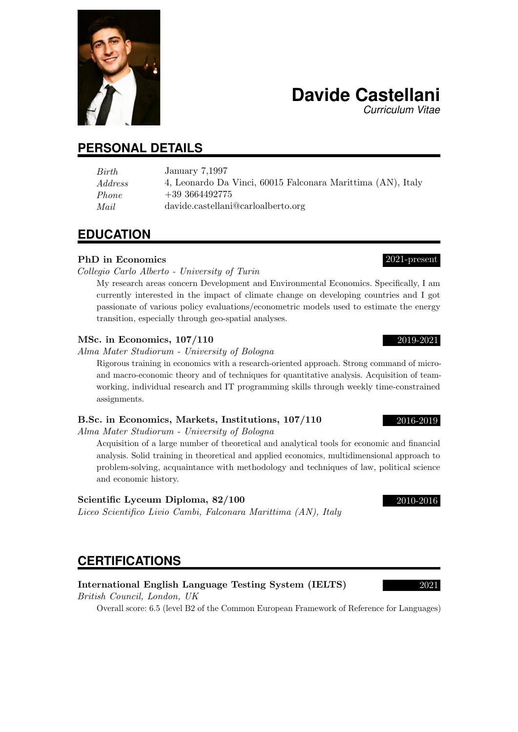# **PERSONAL DETAILS**

| Birth   | January 7,1997                                              |
|---------|-------------------------------------------------------------|
| Address | 4, Leonardo Da Vinci, 60015 Falconara Marittima (AN), Italy |
| Phone   | $+39\,3664492775$                                           |
| Mail    | davide.castellani@carloalberto.org                          |

# **EDUCATION**

# PhD in Economics 2021-present

Collegio Carlo Alberto - University of Turin

My research areas concern Development and Environmental Economics. Specifically, I am currently interested in the impact of climate change on developing countries and I got passionate of various policy evaluations/econometric models used to estimate the energy transition, especially through geo-spatial analyses.

## MSc. in Economics, 107/110 2019-2021

Alma Mater Studiorum - University of Bologna

Rigorous training in economics with a research-oriented approach. Strong command of microand macro-economic theory and of techniques for quantitative analysis. Acquisition of teamworking, individual research and IT programming skills through weekly time-constrained assignments.

# B.Sc. in Economics, Markets, Institutions, 107/110 2016-2019

Alma Mater Studiorum - University of Bologna

Acquisition of a large number of theoretical and analytical tools for economic and financial analysis. Solid training in theoretical and applied economics, multidimensional approach to problem-solving, acquaintance with methodology and techniques of law, political science and economic history.

# Scientific Lyceum Diploma,  $82/100$  2010-2016

Liceo Scientifico Livio Cambi, Falconara Marittima (AN), Italy

# **CERTIFICATIONS**

# International English Language Testing System (IELTS) 2021

British Council, London, UK

Overall score: 6.5 (level B2 of the Common European Framework of Reference for Languages)

*Curriculum Vitae*

**Davide Castellani**